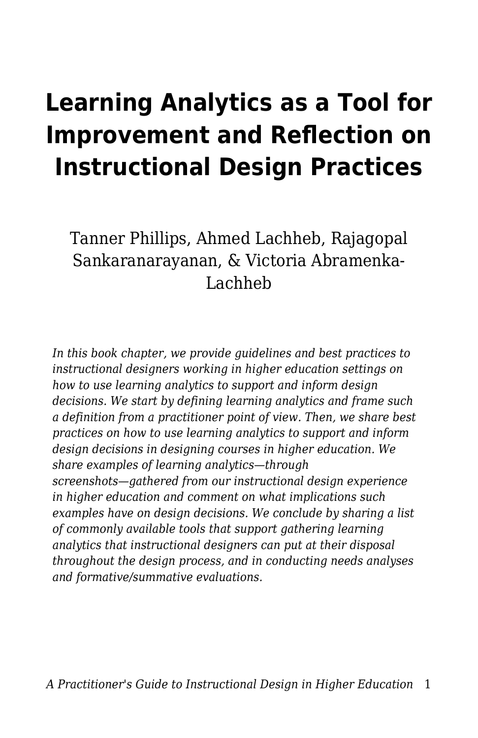# **Learning Analytics as a Tool for Improvement and Reflection on Instructional Design Practices**

Tanner Phillips, Ahmed Lachheb, Rajagopal Sankaranarayanan, & Victoria Abramenka-Lachheb

*In this book chapter, we provide guidelines and best practices to instructional designers working in higher education settings on how to use learning analytics to support and inform design decisions. We start by defining learning analytics and frame such a definition from a practitioner point of view. Then, we share best practices on how to use learning analytics to support and inform design decisions in designing courses in higher education. We share examples of learning analytics—through screenshots—gathered from our instructional design experience in higher education and comment on what implications such examples have on design decisions. We conclude by sharing a list of commonly available tools that support gathering learning analytics that instructional designers can put at their disposal throughout the design process, and in conducting needs analyses and formative/summative evaluations.*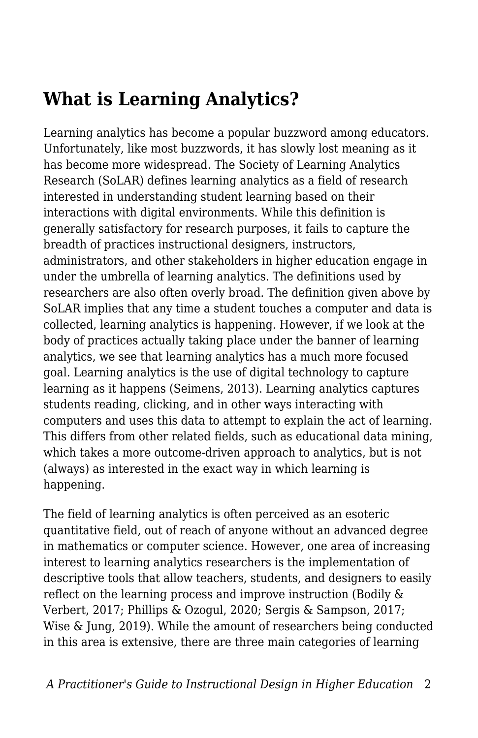## **What is Learning Analytics?**

Learning analytics has become a popular buzzword among educators. Unfortunately, like most buzzwords, it has slowly lost meaning as it has become more widespread. The Society of Learning Analytics Research (SoLAR) defines learning analytics as a field of research interested in understanding student learning based on their interactions with digital environments. While this definition is generally satisfactory for research purposes, it fails to capture the breadth of practices instructional designers, instructors, administrators, and other stakeholders in higher education engage in under the umbrella of learning analytics. The definitions used by researchers are also often overly broad. The definition given above by SoLAR implies that any time a student touches a computer and data is collected, learning analytics is happening. However, if we look at the body of practices actually taking place under the banner of learning analytics, we see that learning analytics has a much more focused goal. Learning analytics is the use of digital technology to capture learning as it happens (Seimens, 2013). Learning analytics captures students reading, clicking, and in other ways interacting with computers and uses this data to attempt to explain the act of learning. This differs from other related fields, such as educational data mining, which takes a more outcome-driven approach to analytics, but is not (always) as interested in the exact way in which learning is happening.

The field of learning analytics is often perceived as an esoteric quantitative field, out of reach of anyone without an advanced degree in mathematics or computer science. However, one area of increasing interest to learning analytics researchers is the implementation of descriptive tools that allow teachers, students, and designers to easily reflect on the learning process and improve instruction (Bodily & Verbert, 2017; Phillips & Ozogul, 2020; Sergis & Sampson, 2017; Wise & Jung, 2019). While the amount of researchers being conducted in this area is extensive, there are three main categories of learning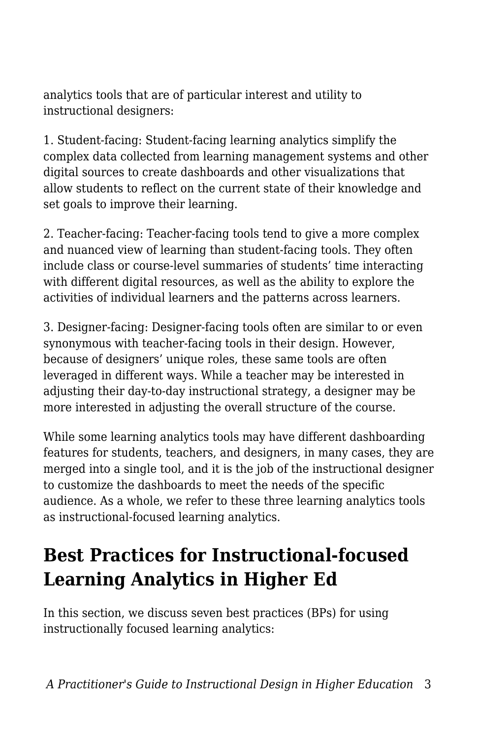analytics tools that are of particular interest and utility to instructional designers:

1. Student-facing: Student-facing learning analytics simplify the complex data collected from learning management systems and other digital sources to create dashboards and other visualizations that allow students to reflect on the current state of their knowledge and set goals to improve their learning.

2. Teacher-facing: Teacher-facing tools tend to give a more complex and nuanced view of learning than student-facing tools. They often include class or course-level summaries of students' time interacting with different digital resources, as well as the ability to explore the activities of individual learners and the patterns across learners.

3. Designer-facing: Designer-facing tools often are similar to or even synonymous with teacher-facing tools in their design. However, because of designers' unique roles, these same tools are often leveraged in different ways. While a teacher may be interested in adjusting their day-to-day instructional strategy, a designer may be more interested in adjusting the overall structure of the course.

While some learning analytics tools may have different dashboarding features for students, teachers, and designers, in many cases, they are merged into a single tool, and it is the job of the instructional designer to customize the dashboards to meet the needs of the specific audience. As a whole, we refer to these three learning analytics tools as instructional-focused learning analytics.

## **Best Practices for Instructional-focused Learning Analytics in Higher Ed**

In this section, we discuss seven best practices (BPs) for using instructionally focused learning analytics: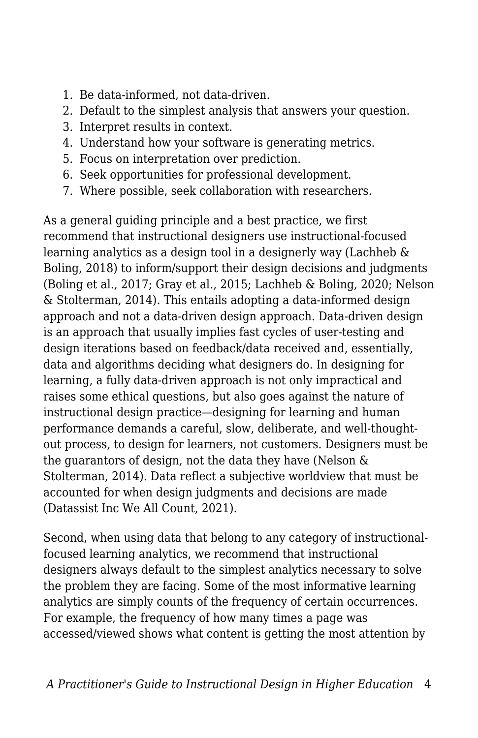- 1. Be data-informed, not data-driven.
- 2. Default to the simplest analysis that answers your question.
- 3. Interpret results in context.
- 4. Understand how your software is generating metrics.
- 5. Focus on interpretation over prediction.
- 6. Seek opportunities for professional development.
- 7. Where possible, seek collaboration with researchers.

As a general guiding principle and a best practice, we first recommend that instructional designers use instructional-focused learning analytics as a design tool in a designerly way (Lachheb & Boling, 2018) to inform/support their design decisions and judgments (Boling et al., 2017; Gray et al., 2015; Lachheb & Boling, 2020; Nelson & Stolterman, 2014). This entails adopting a data-informed design approach and not a data-driven design approach. Data-driven design is an approach that usually implies fast cycles of user-testing and design iterations based on feedback/data received and, essentially, data and algorithms deciding what designers do. In designing for learning, a fully data-driven approach is not only impractical and raises some ethical questions, but also goes against the nature of instructional design practice—designing for learning and human performance demands a careful, slow, deliberate, and well-thoughtout process, to design for learners, not customers. Designers must be the guarantors of design, not the data they have (Nelson & Stolterman, 2014). Data reflect a subjective worldview that must be accounted for when design judgments and decisions are made (Datassist Inc We All Count, 2021).

Second, when using data that belong to any category of instructionalfocused learning analytics, we recommend that instructional designers always default to the simplest analytics necessary to solve the problem they are facing. Some of the most informative learning analytics are simply counts of the frequency of certain occurrences. For example, the frequency of how many times a page was accessed/viewed shows what content is getting the most attention by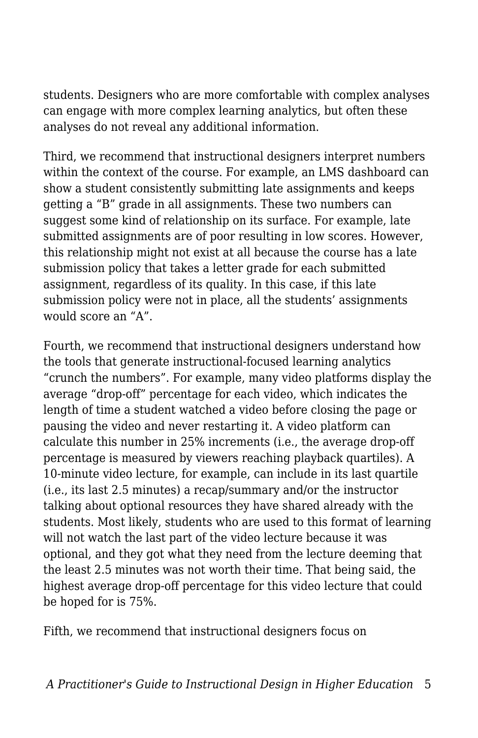students. Designers who are more comfortable with complex analyses can engage with more complex learning analytics, but often these analyses do not reveal any additional information.

Third, we recommend that instructional designers interpret numbers within the context of the course. For example, an LMS dashboard can show a student consistently submitting late assignments and keeps getting a "B" grade in all assignments. These two numbers can suggest some kind of relationship on its surface. For example, late submitted assignments are of poor resulting in low scores. However, this relationship might not exist at all because the course has a late submission policy that takes a letter grade for each submitted assignment, regardless of its quality. In this case, if this late submission policy were not in place, all the students' assignments would score an "A".

Fourth, we recommend that instructional designers understand how the tools that generate instructional-focused learning analytics "crunch the numbers". For example, many video platforms display the average "drop-off" percentage for each video, which indicates the length of time a student watched a video before closing the page or pausing the video and never restarting it. A video platform can calculate this number in 25% increments (i.e., the average drop-off percentage is measured by viewers reaching playback quartiles). A 10-minute video lecture, for example, can include in its last quartile (i.e., its last 2.5 minutes) a recap/summary and/or the instructor talking about optional resources they have shared already with the students. Most likely, students who are used to this format of learning will not watch the last part of the video lecture because it was optional, and they got what they need from the lecture deeming that the least 2.5 minutes was not worth their time. That being said, the highest average drop-off percentage for this video lecture that could be hoped for is 75%.

Fifth, we recommend that instructional designers focus on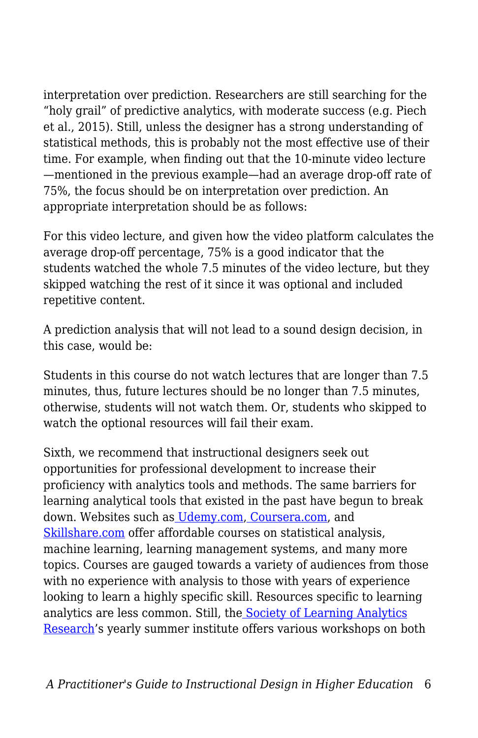interpretation over prediction. Researchers are still searching for the "holy grail" of predictive analytics, with moderate success (e.g. Piech et al., 2015). Still, unless the designer has a strong understanding of statistical methods, this is probably not the most effective use of their time. For example, when finding out that the 10-minute video lecture —mentioned in the previous example—had an average drop-off rate of 75%, the focus should be on interpretation over prediction. An appropriate interpretation should be as follows:

For this video lecture, and given how the video platform calculates the average drop-off percentage, 75% is a good indicator that the students watched the whole 7.5 minutes of the video lecture, but they skipped watching the rest of it since it was optional and included repetitive content.

A prediction analysis that will not lead to a sound design decision, in this case, would be:

Students in this course do not watch lectures that are longer than 7.5 minutes, thus, future lectures should be no longer than 7.5 minutes, otherwise, students will not watch them. Or, students who skipped to watch the optional resources will fail their exam.

Sixth, we recommend that instructional designers seek out opportunities for professional development to increase their proficiency with analytics tools and methods. The same barriers for learning analytical tools that existed in the past have begun to break down. Websites such as [Udemy.com,](http://udemy.com/) [Coursera.com](http://coursera.com/), and [Skillshare.com](http://skillshare.com/) offer affordable courses on statistical analysis, machine learning, learning management systems, and many more topics. Courses are gauged towards a variety of audiences from those with no experience with analysis to those with years of experience looking to learn a highly specific skill. Resources specific to learning analytics are less common. Still, the [Society of Learning Analytics](https://www.solaresearch.org/) [Research'](https://www.solaresearch.org/)s yearly summer institute offers various workshops on both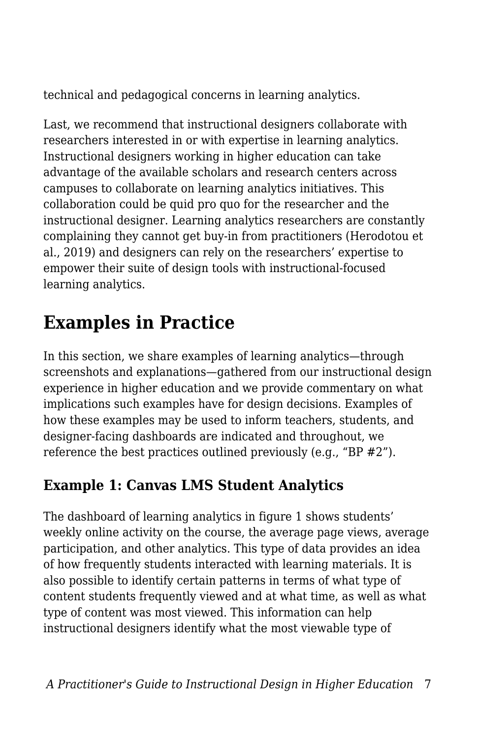technical and pedagogical concerns in learning analytics.

Last, we recommend that instructional designers collaborate with researchers interested in or with expertise in learning analytics. Instructional designers working in higher education can take advantage of the available scholars and research centers across campuses to collaborate on learning analytics initiatives. This collaboration could be quid pro quo for the researcher and the instructional designer. Learning analytics researchers are constantly complaining they cannot get buy-in from practitioners (Herodotou et al., 2019) and designers can rely on the researchers' expertise to empower their suite of design tools with instructional-focused learning analytics.

## **Examples in Practice**

In this section, we share examples of learning analytics—through screenshots and explanations—gathered from our instructional design experience in higher education and we provide commentary on what implications such examples have for design decisions. Examples of how these examples may be used to inform teachers, students, and designer-facing dashboards are indicated and throughout, we reference the best practices outlined previously (e.g., "BP #2").

## **Example 1: Canvas LMS Student Analytics**

The dashboard of learning analytics in figure 1 shows students' weekly online activity on the course, the average page views, average participation, and other analytics. This type of data provides an idea of how frequently students interacted with learning materials. It is also possible to identify certain patterns in terms of what type of content students frequently viewed and at what time, as well as what type of content was most viewed. This information can help instructional designers identify what the most viewable type of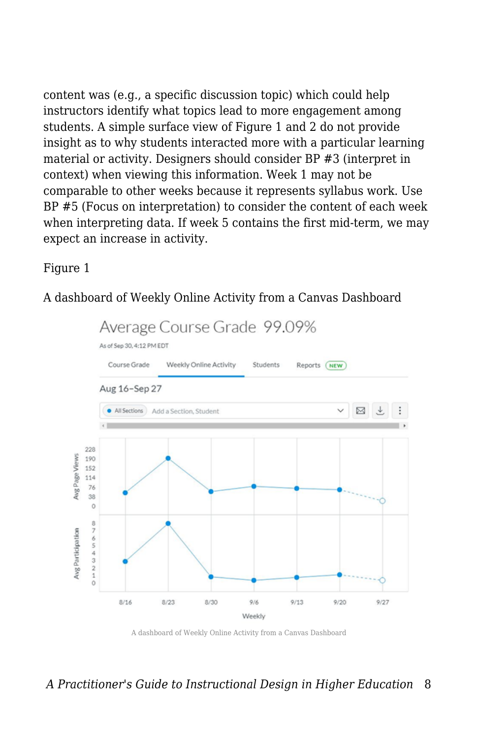content was (e.g., a specific discussion topic) which could help instructors identify what topics lead to more engagement among students. A simple surface view of Figure 1 and 2 do not provide insight as to why students interacted more with a particular learning material or activity. Designers should consider BP #3 (interpret in context) when viewing this information. Week 1 may not be comparable to other weeks because it represents syllabus work. Use BP #5 (Focus on interpretation) to consider the content of each week when interpreting data. If week 5 contains the first mid-term, we may expect an increase in activity.

#### Figure 1

A dashboard of Weekly Online Activity from a Canvas Dashboard



A dashboard of Weekly Online Activity from a Canvas Dashboard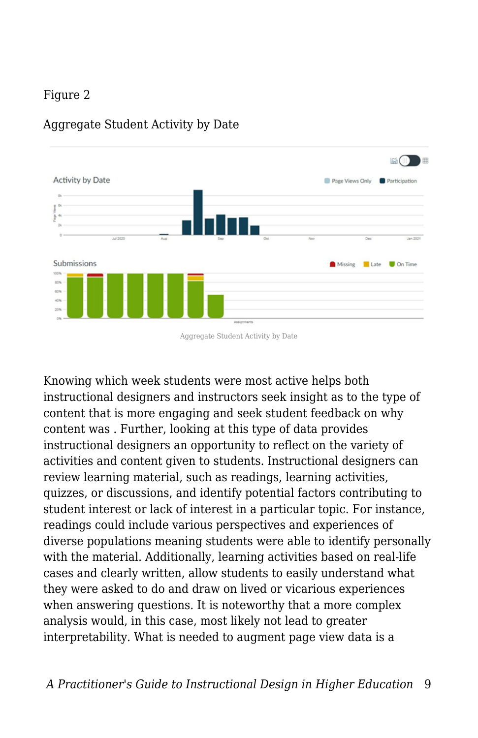### Figure 2



#### Aggregate Student Activity by Date

Aggregate Student Activity by Date

Knowing which week students were most active helps both instructional designers and instructors seek insight as to the type of content that is more engaging and seek student feedback on why content was . Further, looking at this type of data provides instructional designers an opportunity to reflect on the variety of activities and content given to students. Instructional designers can review learning material, such as readings, learning activities, quizzes, or discussions, and identify potential factors contributing to student interest or lack of interest in a particular topic. For instance, readings could include various perspectives and experiences of diverse populations meaning students were able to identify personally with the material. Additionally, learning activities based on real-life cases and clearly written, allow students to easily understand what they were asked to do and draw on lived or vicarious experiences when answering questions. It is noteworthy that a more complex analysis would, in this case, most likely not lead to greater interpretability. What is needed to augment page view data is a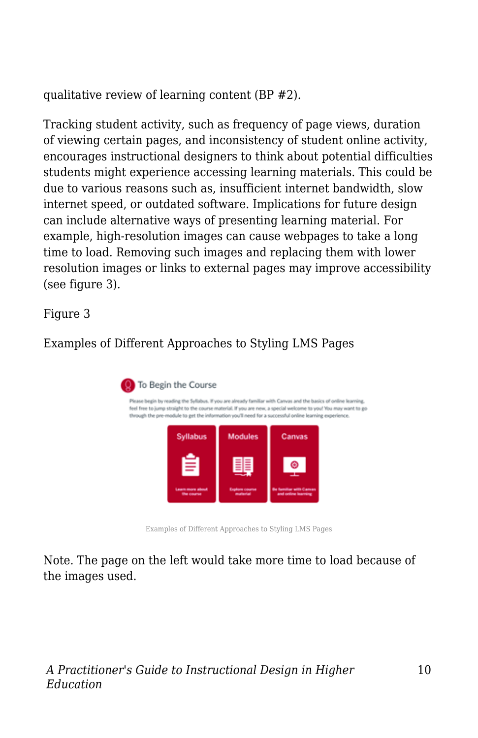qualitative review of learning content (BP #2).

Tracking student activity, such as frequency of page views, duration of viewing certain pages, and inconsistency of student online activity, encourages instructional designers to think about potential difficulties students might experience accessing learning materials. This could be due to various reasons such as, insufficient internet bandwidth, slow internet speed, or outdated software. Implications for future design can include alternative ways of presenting learning material. For example, high-resolution images can cause webpages to take a long time to load. Removing such images and replacing them with lower resolution images or links to external pages may improve accessibility (see figure 3).

Figure 3

### Examples of Different Approaches to Styling LMS Pages



Examples of Different Approaches to Styling LMS Pages

Note. The page on the left would take more time to load because of the images used.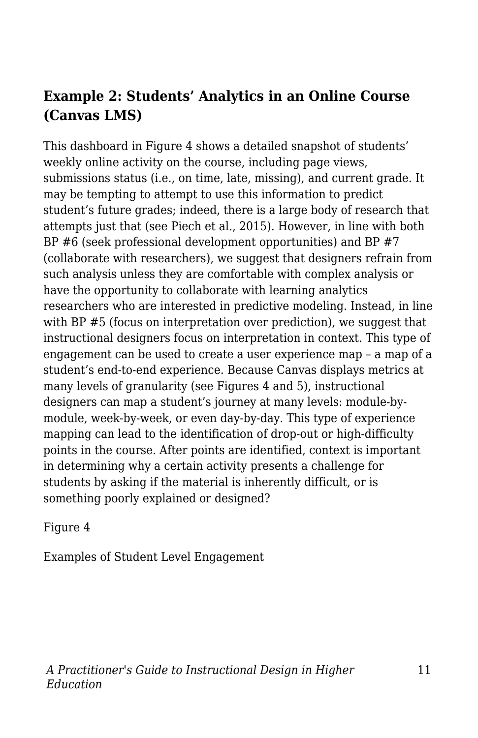### **Example 2: Students' Analytics in an Online Course (Canvas LMS)**

This dashboard in Figure 4 shows a detailed snapshot of students' weekly online activity on the course, including page views, submissions status (i.e., on time, late, missing), and current grade. It may be tempting to attempt to use this information to predict student's future grades; indeed, there is a large body of research that attempts just that (see Piech et al., 2015). However, in line with both BP #6 (seek professional development opportunities) and BP #7 (collaborate with researchers), we suggest that designers refrain from such analysis unless they are comfortable with complex analysis or have the opportunity to collaborate with learning analytics researchers who are interested in predictive modeling. Instead, in line with BP #5 (focus on interpretation over prediction), we suggest that instructional designers focus on interpretation in context. This type of engagement can be used to create a user experience map – a map of a student's end-to-end experience. Because Canvas displays metrics at many levels of granularity (see Figures 4 and 5), instructional designers can map a student's journey at many levels: module-bymodule, week-by-week, or even day-by-day. This type of experience mapping can lead to the identification of drop-out or high-difficulty points in the course. After points are identified, context is important in determining why a certain activity presents a challenge for students by asking if the material is inherently difficult, or is something poorly explained or designed?

Figure 4

Examples of Student Level Engagement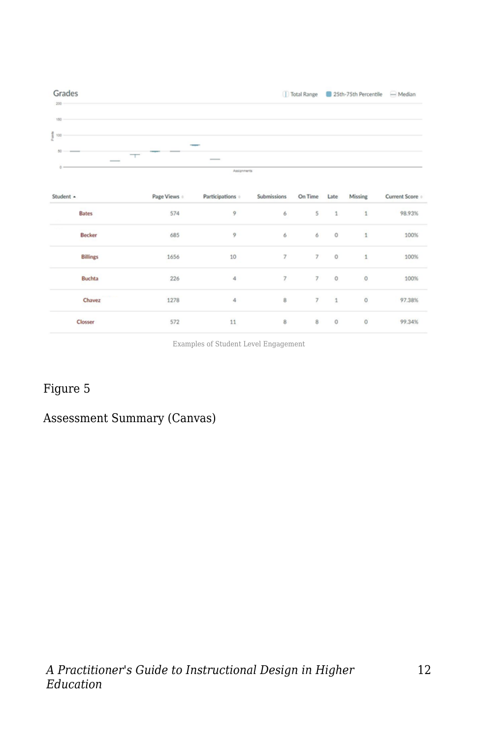

Examples of Student Level Engagement

### Figure 5

### Assessment Summary (Canvas)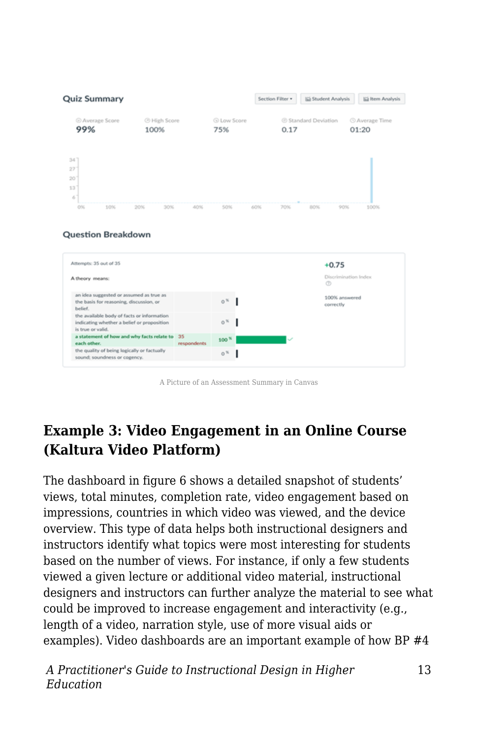

#### **Question Breakdown**



A Picture of an Assessment Summary in Canvas

### **Example 3: Video Engagement in an Online Course (Kaltura Video Platform)**

The dashboard in figure 6 shows a detailed snapshot of students' views, total minutes, completion rate, video engagement based on impressions, countries in which video was viewed, and the device overview. This type of data helps both instructional designers and instructors identify what topics were most interesting for students based on the number of views. For instance, if only a few students viewed a given lecture or additional video material, instructional designers and instructors can further analyze the material to see what could be improved to increase engagement and interactivity (e.g., length of a video, narration style, use of more visual aids or examples). Video dashboards are an important example of how BP #4

*A Practitioner's Guide to Instructional Design in Higher Education*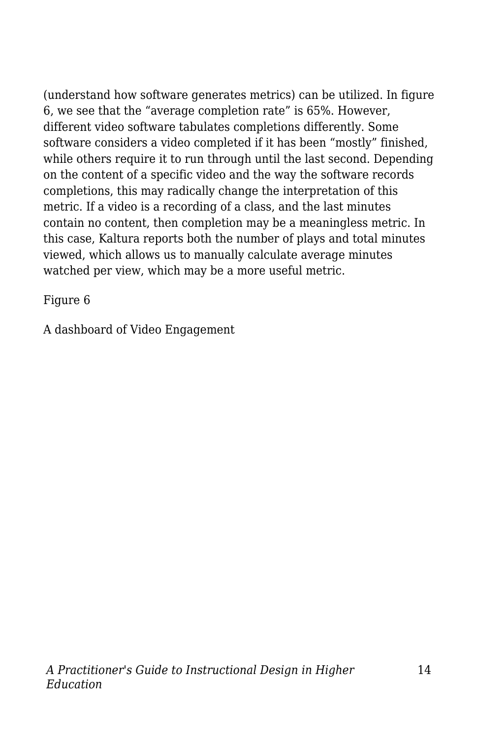(understand how software generates metrics) can be utilized. In figure 6, we see that the "average completion rate" is 65%. However, different video software tabulates completions differently. Some software considers a video completed if it has been "mostly" finished, while others require it to run through until the last second. Depending on the content of a specific video and the way the software records completions, this may radically change the interpretation of this metric. If a video is a recording of a class, and the last minutes contain no content, then completion may be a meaningless metric. In this case, Kaltura reports both the number of plays and total minutes viewed, which allows us to manually calculate average minutes watched per view, which may be a more useful metric.

Figure 6

A dashboard of Video Engagement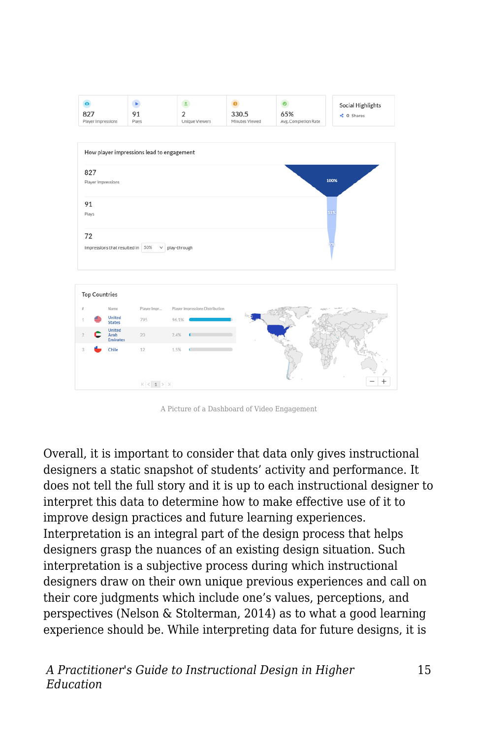

A Picture of a Dashboard of Video Engagement

Overall, it is important to consider that data only gives instructional designers a static snapshot of students' activity and performance. It does not tell the full story and it is up to each instructional designer to interpret this data to determine how to make effective use of it to improve design practices and future learning experiences. Interpretation is an integral part of the design process that helps designers grasp the nuances of an existing design situation. Such interpretation is a subjective process during which instructional designers draw on their own unique previous experiences and call on their core judgments which include one's values, perceptions, and perspectives (Nelson & Stolterman, 2014) as to what a good learning experience should be. While interpreting data for future designs, it is

*A Practitioner's Guide to Instructional Design in Higher Education*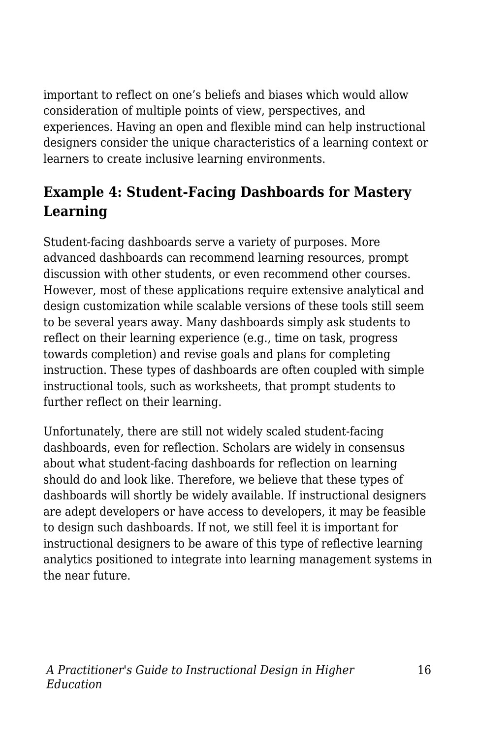important to reflect on one's beliefs and biases which would allow consideration of multiple points of view, perspectives, and experiences. Having an open and flexible mind can help instructional designers consider the unique characteristics of a learning context or learners to create inclusive learning environments.

## **Example 4: Student-Facing Dashboards for Mastery Learning**

Student-facing dashboards serve a variety of purposes. More advanced dashboards can recommend learning resources, prompt discussion with other students, or even recommend other courses. However, most of these applications require extensive analytical and design customization while scalable versions of these tools still seem to be several years away. Many dashboards simply ask students to reflect on their learning experience (e.g., time on task, progress towards completion) and revise goals and plans for completing instruction. These types of dashboards are often coupled with simple instructional tools, such as worksheets, that prompt students to further reflect on their learning.

Unfortunately, there are still not widely scaled student-facing dashboards, even for reflection. Scholars are widely in consensus about what student-facing dashboards for reflection on learning should do and look like. Therefore, we believe that these types of dashboards will shortly be widely available. If instructional designers are adept developers or have access to developers, it may be feasible to design such dashboards. If not, we still feel it is important for instructional designers to be aware of this type of reflective learning analytics positioned to integrate into learning management systems in the near future.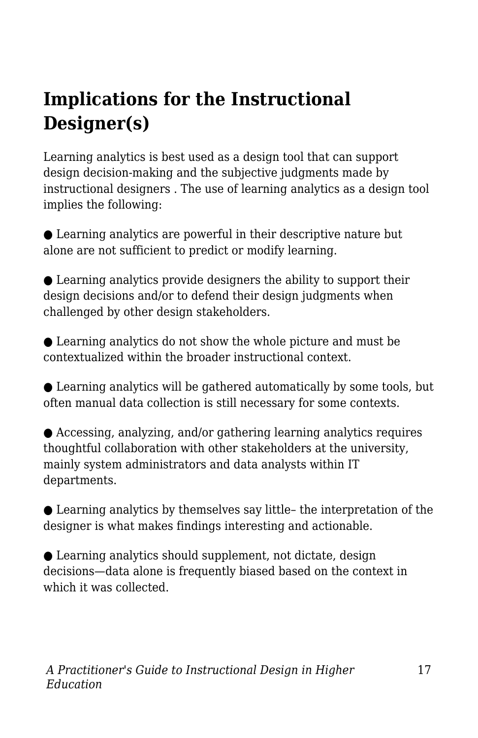## **Implications for the Instructional Designer(s)**

Learning analytics is best used as a design tool that can support design decision-making and the subjective judgments made by instructional designers . The use of learning analytics as a design tool implies the following:

● Learning analytics are powerful in their descriptive nature but alone are not sufficient to predict or modify learning.

 $\bullet$  Learning analytics provide designers the ability to support their design decisions and/or to defend their design judgments when challenged by other design stakeholders.

● Learning analytics do not show the whole picture and must be contextualized within the broader instructional context.

● Learning analytics will be gathered automatically by some tools, but often manual data collection is still necessary for some contexts.

● Accessing, analyzing, and/or gathering learning analytics requires thoughtful collaboration with other stakeholders at the university, mainly system administrators and data analysts within IT departments.

 $\bullet$  Learning analytics by themselves say little- the interpretation of the designer is what makes findings interesting and actionable.

● Learning analytics should supplement, not dictate, design decisions—data alone is frequently biased based on the context in which it was collected.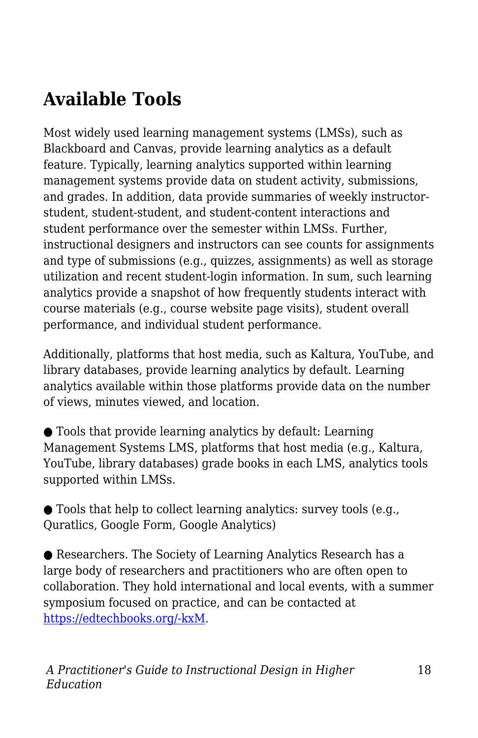## **Available Tools**

Most widely used learning management systems (LMSs), such as Blackboard and Canvas, provide learning analytics as a default feature. Typically, learning analytics supported within learning management systems provide data on student activity, submissions, and grades. In addition, data provide summaries of weekly instructorstudent, student-student, and student-content interactions and student performance over the semester within LMSs. Further, instructional designers and instructors can see counts for assignments and type of submissions (e.g., quizzes, assignments) as well as storage utilization and recent student-login information. In sum, such learning analytics provide a snapshot of how frequently students interact with course materials (e.g., course website page visits), student overall performance, and individual student performance.

Additionally, platforms that host media, such as Kaltura, YouTube, and library databases, provide learning analytics by default. Learning analytics available within those platforms provide data on the number of views, minutes viewed, and location.

● Tools that provide learning analytics by default: Learning Management Systems LMS, platforms that host media (e.g., Kaltura, YouTube, library databases) grade books in each LMS, analytics tools supported within LMSs.

● Tools that help to collect learning analytics: survey tools (e.g., Quratlics, Google Form, Google Analytics)

● Researchers. The Society of Learning Analytics Research has a large body of researchers and practitioners who are often open to collaboration. They hold international and local events, with a summer symposium focused on practice, and can be contacted at [https://edtechbooks.org/-kxM](https://www.solaresearch.org/contact/).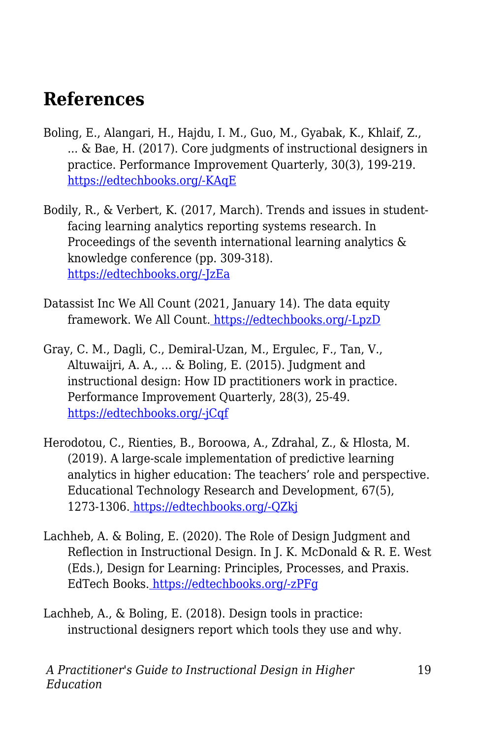## **References**

- Boling, E., Alangari, H., Hajdu, I. M., Guo, M., Gyabak, K., Khlaif, Z., ... & Bae, H. (2017). Core judgments of instructional designers in practice. Performance Improvement Quarterly, 30(3), 199-219. [https://edtechbooks.org/-KAqE](https://doi.org/10.1002/piq.21250)
- Bodily, R., & Verbert, K. (2017, March). Trends and issues in studentfacing learning analytics reporting systems research. In Proceedings of the seventh international learning analytics & knowledge conference (pp. 309-318). [https://edtechbooks.org/-JzEa](https://doi.org/10.1145/3027385.3027403)
- Datassist Inc We All Count (2021, January 14). The data equity framework. We All Count[.](https://weallcount.com/the-data-process/) [https://edtechbooks.org/-LpzD](https://weallcount.com/the-data-process/)
- Gray, C. M., Dagli, C., Demiral‐Uzan, M., Ergulec, F., Tan, V., Altuwaijri, A. A., ... & Boling, E. (2015). Judgment and instructional design: How ID practitioners work in practice. Performance Improvement Quarterly, 28(3), 25-49. [https://edtechbooks.org/-jCqf](https://doi.org/10.1002/piq.21198)
- Herodotou, C., Rienties, B., Boroowa, A., Zdrahal, Z., & Hlosta, M. (2019). A large-scale implementation of predictive learning analytics in higher education: The teachers' role and perspective. Educational Technology Research and Development, 67(5), 1273-1306. [https://edtechbooks.org/-QZkj](https://doi.org/10.1007/s11423-019-09685-0)
- Lachheb, A. & Boling, E. (2020). The Role of Design Judgment and Reflection in Instructional Design. In J. K. McDonald & R. E. West (Eds.), Design for Learning: Principles, Processes, and Praxis. EdTech Books. [https://edtechbooks.org/-zPFg](https://edtechbooks.org/id/design_judgment)
- Lachheb, A., & Boling, E. (2018). Design tools in practice: instructional designers report which tools they use and why.

*A Practitioner's Guide to Instructional Design in Higher Education*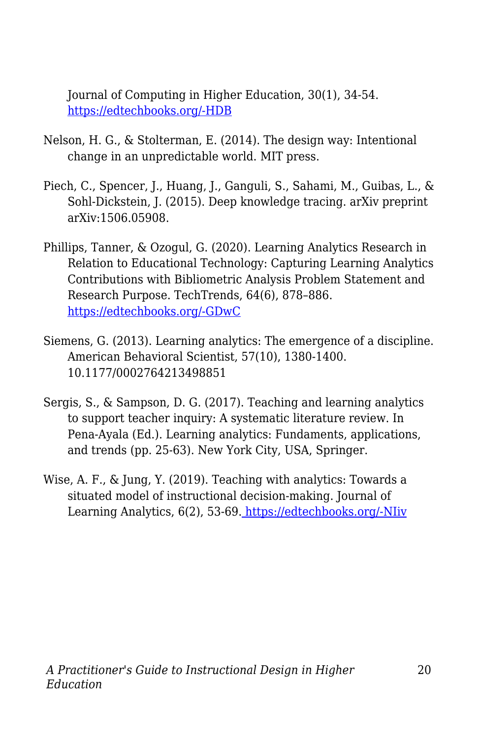Journal of Computing in Higher Education, 30(1), 34-54. [https://edtechbooks.org/-HDB](https://doi.org/10.1007/s12528-017-9165-x)

- Nelson, H. G., & Stolterman, E. (2014). The design way: Intentional change in an unpredictable world. MIT press.
- Piech, C., Spencer, J., Huang, J., Ganguli, S., Sahami, M., Guibas, L., & Sohl-Dickstein, J. (2015). Deep knowledge tracing. arXiv preprint arXiv:1506.05908.
- Phillips, Tanner, & Ozogul, G. (2020). Learning Analytics Research in Relation to Educational Technology: Capturing Learning Analytics Contributions with Bibliometric Analysis Problem Statement and Research Purpose. TechTrends, 64(6), 878–886. [https://edtechbooks.org/-GDwC](https://doi.org/https:/doi.org/10.1007/s11528-020-00519-y)
- Siemens, G. (2013). Learning analytics: The emergence of a discipline. American Behavioral Scientist, 57(10), 1380-1400. 10.1177/0002764213498851
- Sergis, S., & Sampson, D. G. (2017). Teaching and learning analytics to support teacher inquiry: A systematic literature review. In Pena-Ayala (Ed.). Learning analytics: Fundaments, applications, and trends (pp. 25-63). New York City, USA, Springer.
- Wise, A. F., & Jung, Y. (2019). Teaching with analytics: Towards a situated model of instructional decision-making. Journal of Learning Analytics, 6(2), 53-69[.](https://doi.org/10.18608/jla.2019.62.4) [https://edtechbooks.org/-NIiv](https://doi.org/10.18608/jla.2019.62.4)